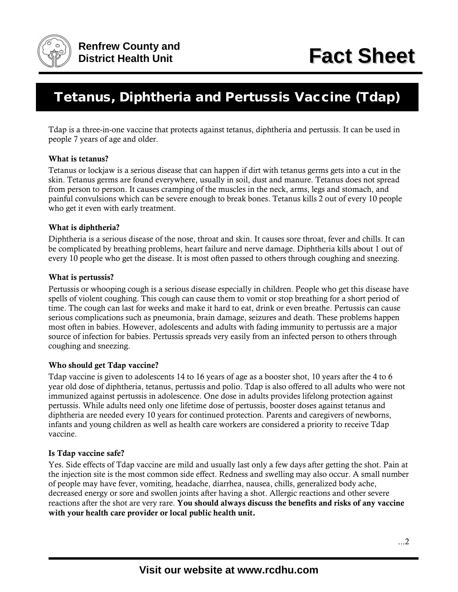

# Tetanus, Diphtheria and Pertussis Vaccine (Tdap)

Tdap is a three-in-one vaccine that protects against tetanus, diphtheria and pertussis. It can be used in people 7 years of age and older.

## What is tetanus?

Tetanus or lockjaw is a serious disease that can happen if dirt with tetanus germs gets into a cut in the skin. Tetanus germs are found everywhere, usually in soil, dust and manure. Tetanus does not spread from person to person. It causes cramping of the muscles in the neck, arms, legs and stomach, and painful convulsions which can be severe enough to break bones. Tetanus kills 2 out of every 10 people who get it even with early treatment.

#### What is diphtheria?

Diphtheria is a serious disease of the nose, throat and skin. It causes sore throat, fever and chills. It can be complicated by breathing problems, heart failure and nerve damage. Diphtheria kills about 1 out of every 10 people who get the disease. It is most often passed to others through coughing and sneezing.

#### What is pertussis?

Pertussis or whooping cough is a serious disease especially in children. People who get this disease have spells of violent coughing. This cough can cause them to vomit or stop breathing for a short period of time. The cough can last for weeks and make it hard to eat, drink or even breathe. Pertussis can cause serious complications such as pneumonia, brain damage, seizures and death. These problems happen most often in babies. However, adolescents and adults with fading immunity to pertussis are a major source of infection for babies. Pertussis spreads very easily from an infected person to others through coughing and sneezing.

## Who should get Tdap vaccine?

Tdap vaccine is given to adolescents 14 to 16 years of age as a booster shot, 10 years after the 4 to 6 year old dose of diphtheria, tetanus, pertussis and polio. Tdap is also offered to all adults who were not immunized against pertussis in adolescence. One dose in adults provides lifelong protection against pertussis. While adults need only one lifetime dose of pertussis, booster doses against tetanus and diphtheria are needed every 10 years for continued protection. Parents and caregivers of newborns, infants and young children as well as health care workers are considered a priority to receive Tdap vaccine.

#### Is Tdap vaccine safe?

Yes. Side effects of Tdap vaccine are mild and usually last only a few days after getting the shot. Pain at the injection site is the most common side effect. Redness and swelling may also occur. A small number of people may have fever, vomiting, headache, diarrhea, nausea, chills, generalized body ache, decreased energy or sore and swollen joints after having a shot. Allergic reactions and other severe reactions after the shot are very rare. You should always discuss the benefits and risks of any vaccine with your health care provider or local public health unit.